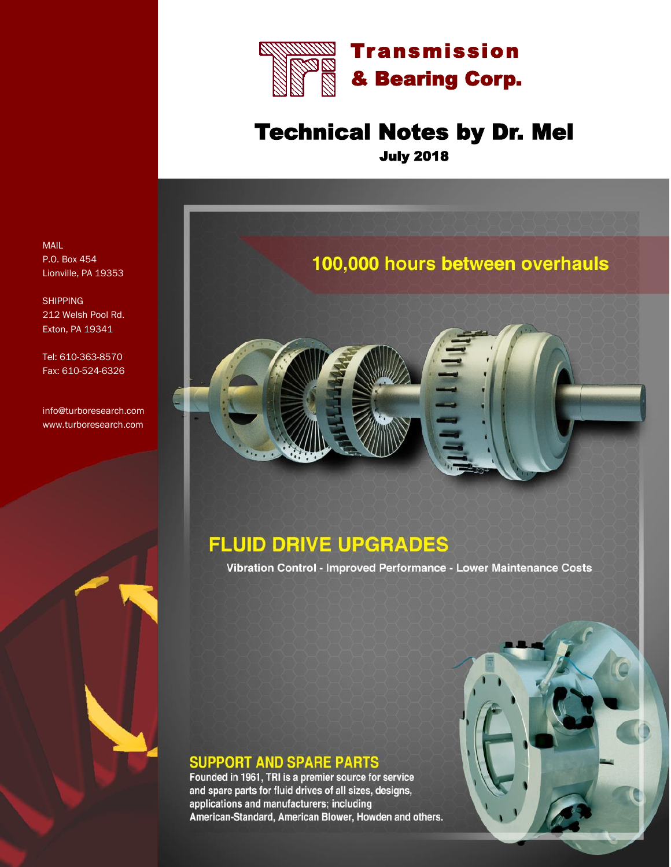

## Technical Notes by Dr. Mel July 2018



### **FLUID DRIVE UPGRADES**

Vibration Control - Improved Performance - Lower Maintenance Costs

#### **SUPPORT AND SPARE PARTS**

Founded in 1961, TRI is a premier source for service and spare parts for fluid drives of all sizes, designs, applications and manufacturers; including American-Standard, American Blower, Howden and others.



MAIL P.O. Box 454 Lionville, PA 19353

**SHIPPING** 212 Welsh Pool Rd. Exton, PA 19341

Tel: 610-363-8570 Fax: 610-524-6326

info@turboresearch.com www.turboresearch.com